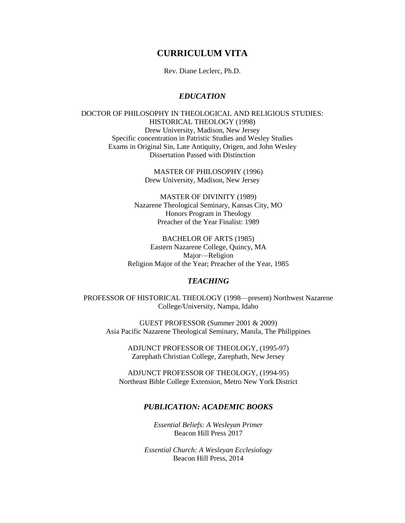# **CURRICULUM VITA**

Rev. Diane Leclerc, Ph.D.

## *EDUCATION*

DOCTOR OF PHILOSOPHY IN THEOLOGICAL AND RELIGIOUS STUDIES: HISTORICAL THEOLOGY (1998) Drew University, Madison, New Jersey Specific concentration in Patristic Studies and Wesley Studies Exams in Original Sin, Late Antiquity, Origen, and John Wesley Dissertation Passed with Distinction

> MASTER OF PHILOSOPHY (1996) Drew University, Madison, New Jersey

MASTER OF DIVINITY (1989) Nazarene Theological Seminary, Kansas City, MO Honors Program in Theology Preacher of the Year Finalist: 1989

BACHELOR OF ARTS (1985) Eastern Nazarene College, Quincy, MA Major—Religion Religion Major of the Year; Preacher of the Year, 1985

## *TEACHING*

PROFESSOR OF HISTORICAL THEOLOGY (1998—present) Northwest Nazarene College/University, Nampa, Idaho

GUEST PROFESSOR (Summer 2001 & 2009) Asia Pacific Nazarene Theological Seminary, Manila, The Philippines

> ADJUNCT PROFESSOR OF THEOLOGY, (1995-97) Zarephath Christian College, Zarephath, New Jersey

ADJUNCT PROFESSOR OF THEOLOGY, (1994-95) Northeast Bible College Extension, Metro New York District

# *PUBLICATION: ACADEMIC BOOKS*

*Essential Beliefs: A Wesleyan Primer* Beacon Hill Press 2017

*Essential Church: A Wesleyan Ecclesiology* Beacon Hill Press, 2014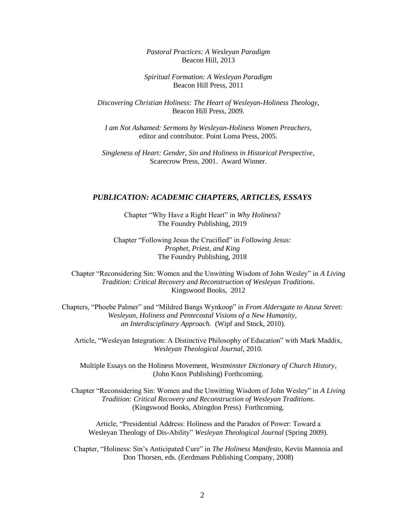*Pastoral Practices: A Wesleyan Paradigm* Beacon Hill, 2013

*Spiritual Formation: A Wesleyan Paradigm* Beacon Hill Press, 2011

*Discovering Christian Holiness: The Heart of Wesleyan-Holiness Theology*, Beacon Hill Press, 2009.

*I am Not Ashamed: Sermons by Wesleyan-Holiness Women Preachers*, editor and contributor. Point Loma Press, 2005.

*Singleness of Heart: Gender, Sin and Holiness in Historical Perspective*, Scarecrow Press, 2001. Award Winner.

#### *PUBLICATION: ACADEMIC CHAPTERS, ARTICLES, ESSAYS*

Chapter "Why Have a Right Heart" in *Why Holiness*? The Foundry Publishing, 2019

Chapter "Following Jesus the Crucified" in *Following Jesus: Prophet, Priest, and King* The Foundry Publishing, 2018

Chapter "Reconsidering Sin: Women and the Unwitting Wisdom of John Wesley" in *A Living Tradition: Critical Recovery and Reconstruction of Wesleyan Traditions*. Kingswood Books, 2012

Chapters, "Phoebe Palmer" and "Mildred Bangs Wynkoop" in *From Aldersgate to Azusa Street: Wesleyan, Holiness and Pentecostal Visions of a New Humanity, an Interdisciplinary Approach.* (Wipf and Stock, 2010).

Article, "Wesleyan Integration: A Distinctive Philosophy of Education" with Mark Maddix, *Wesleyan Theological Journal*, 2010.

Multiple Essays on the Holiness Movement, *Westminster Dictionary of Church History*, (John Knox Publishing) Forthcoming.

Chapter "Reconsidering Sin: Women and the Unwitting Wisdom of John Wesley" in *A Living Tradition: Critical Recovery and Reconstruction of Wesleyan Traditions*. (Kingswood Books, Abingdon Press) Forthcoming.

Article, "Presidential Address: Holiness and the Paradox of Power: Toward a Wesleyan Theology of Dis-Ability" *Wesleyan Theological Journal* (Spring 2009).

Chapter, "Holiness: Sin's Anticipated Cure" in *The Holiness Manifesto*, Kevin Mannoia and Don Thorsen, eds. (Eerdmans Publishing Company, 2008)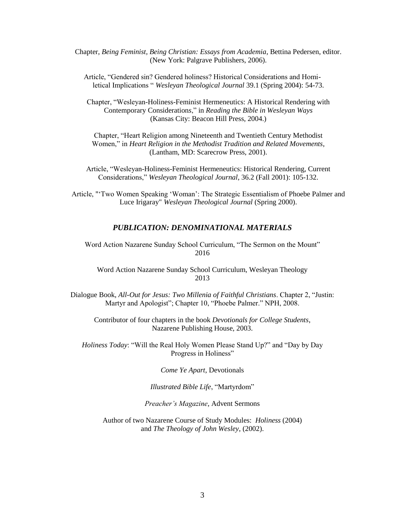Chapter, *Being Feminist, Being Christian: Essays from Academia*, Bettina Pedersen, editor. (New York: Palgrave Publishers, 2006).

Article, "Gendered sin? Gendered holiness? Historical Considerations and Homiletical Implications " *Wesleyan Theological Journal* 39.1 (Spring 2004): 54-73.

Chapter, "Wesleyan-Holiness-Feminist Hermeneutics: A Historical Rendering with Contemporary Consideration*s*," in *Reading the Bible in Wesleyan Ways*  (Kansas City: Beacon Hill Press, 2004.)

Chapter, "Heart Religion among Nineteenth and Twentieth Century Methodist Women," in *Heart Religion in the Methodist Tradition and Related Movements*, (Lantham, MD: Scarecrow Press, 2001).

Article, "Wesleyan-Holiness-Feminist Hermeneutics: Historical Rendering, Current Considerations," *Wesleyan Theological Journal*, 36.2 (Fall 2001): 105-132.

Article, "'Two Women Speaking 'Woman': The Strategic Essentialism of Phoebe Palmer and Luce Irigaray" *Wesleyan Theological Journal* (Spring 2000).

#### *PUBLICATION: DENOMINATIONAL MATERIALS*

Word Action Nazarene Sunday School Curriculum, "The Sermon on the Mount" 2016

Word Action Nazarene Sunday School Curriculum, Wesleyan Theology 2013

Dialogue Book, *All-Out for Jesus: Two Millenia of Faithful Christians*. Chapter 2, "Justin: Martyr and Apologist"; Chapter 10, "Phoebe Palmer." NPH, 2008.

Contributor of four chapters in the book *Devotionals for College Students*, Nazarene Publishing House, 2003.

*Holiness Today*: "Will the Real Holy Women Please Stand Up?" and "Day by Day Progress in Holiness"

*Come Ye Apart*, Devotionals

*Illustrated Bible Life*, "Martyrdom"

*Preacher's Magazine*, Advent Sermons

Author of two Nazarene Course of Study Modules: *Holiness* (2004) and *The Theology of John Wesley*, (2002).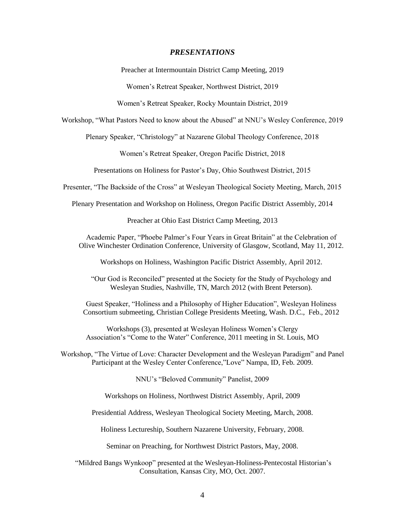#### *PRESENTATIONS*

Preacher at Intermountain District Camp Meeting, 2019

Women's Retreat Speaker, Northwest District, 2019

Women's Retreat Speaker, Rocky Mountain District, 2019

Workshop, "What Pastors Need to know about the Abused" at NNU's Wesley Conference, 2019

Plenary Speaker, "Christology" at Nazarene Global Theology Conference, 2018

Women's Retreat Speaker, Oregon Pacific District, 2018

Presentations on Holiness for Pastor's Day, Ohio Southwest District, 2015

Presenter, "The Backside of the Cross" at Wesleyan Theological Society Meeting, March, 2015

Plenary Presentation and Workshop on Holiness, Oregon Pacific District Assembly, 2014

Preacher at Ohio East District Camp Meeting, 2013

Academic Paper, "Phoebe Palmer's Four Years in Great Britain" at the Celebration of Olive Winchester Ordination Conference, University of Glasgow, Scotland, May 11, 2012.

Workshops on Holiness, Washington Pacific District Assembly, April 2012.

"Our God is Reconciled" presented at the Society for the Study of Psychology and Wesleyan Studies, Nashville, TN, March 2012 (with Brent Peterson).

Guest Speaker, "Holiness and a Philosophy of Higher Education", Wesleyan Holiness Consortium submeeting, Christian College Presidents Meeting, Wash. D.C., Feb., 2012

Workshops (3), presented at Wesleyan Holiness Women's Clergy Association's "Come to the Water" Conference, 2011 meeting in St. Louis, MO

Workshop, "The Virtue of Love: Character Development and the Wesleyan Paradigm" and Panel Participant at the Wesley Center Conference,"Love" Nampa, ID, Feb. 2009.

NNU's "Beloved Community" Panelist, 2009

Workshops on Holiness, Northwest District Assembly, April, 2009

Presidential Address, Wesleyan Theological Society Meeting, March, 2008.

Holiness Lectureship, Southern Nazarene University, February, 2008.

Seminar on Preaching, for Northwest District Pastors, May, 2008.

"Mildred Bangs Wynkoop" presented at the Wesleyan-Holiness-Pentecostal Historian's Consultation, Kansas City, MO, Oct. 2007.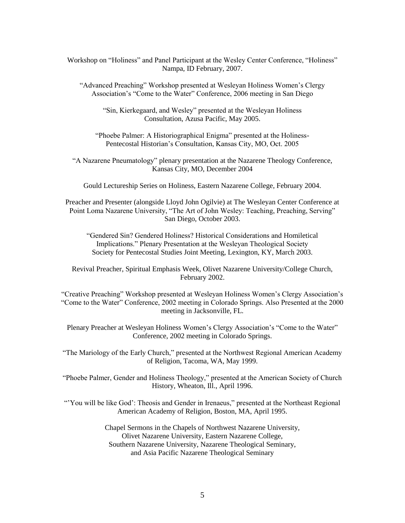Workshop on "Holiness" and Panel Participant at the Wesley Center Conference, "Holiness" Nampa, ID February, 2007.

"Advanced Preaching" Workshop presented at Wesleyan Holiness Women's Clergy Association's "Come to the Water" Conference, 2006 meeting in San Diego

"Sin, Kierkegaard, and Wesley" presented at the Wesleyan Holiness Consultation, Azusa Pacific, May 2005.

"Phoebe Palmer: A Historiographical Enigma" presented at the Holiness-Pentecostal Historian's Consultation, Kansas City, MO, Oct. 2005

"A Nazarene Pneumatology" plenary presentation at the Nazarene Theology Conference, Kansas City, MO, December 2004

Gould Lectureship Series on Holiness, Eastern Nazarene College, February 2004.

Preacher and Presenter (alongside Lloyd John Ogilvie) at The Wesleyan Center Conference at Point Loma Nazarene University, "The Art of John Wesley: Teaching, Preaching, Serving" San Diego, October 2003.

"Gendered Sin? Gendered Holiness? Historical Considerations and Homiletical Implications." Plenary Presentation at the Wesleyan Theological Society Society for Pentecostal Studies Joint Meeting, Lexington, KY, March 2003.

Revival Preacher, Spiritual Emphasis Week, Olivet Nazarene University/College Church, February 2002.

"Creative Preaching" Workshop presented at Wesleyan Holiness Women's Clergy Association's "Come to the Water" Conference, 2002 meeting in Colorado Springs. Also Presented at the 2000 meeting in Jacksonville, FL.

Plenary Preacher at Wesleyan Holiness Women's Clergy Association's "Come to the Water" Conference, 2002 meeting in Colorado Springs.

"The Mariology of the Early Church," presented at the Northwest Regional American Academy of Religion, Tacoma, WA, May 1999.

"Phoebe Palmer, Gender and Holiness Theology," presented at the American Society of Church History, Wheaton, Ill., April 1996.

"You will be like God': Theosis and Gender in Irenaeus," presented at the Northeast Regional American Academy of Religion, Boston, MA, April 1995.

> Chapel Sermons in the Chapels of Northwest Nazarene University, Olivet Nazarene University, Eastern Nazarene College, Southern Nazarene University, Nazarene Theological Seminary, and Asia Pacific Nazarene Theological Seminary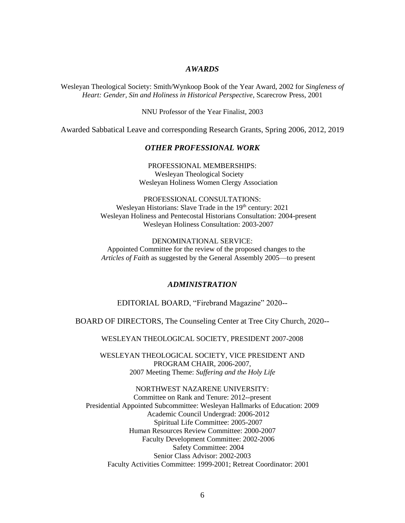## *AWARDS*

Wesleyan Theological Society: Smith/Wynkoop Book of the Year Award, 2002 for *Singleness of Heart: Gender, Sin and Holiness in Historical Perspective*, Scarecrow Press, 2001

NNU Professor of the Year Finalist, 2003

Awarded Sabbatical Leave and corresponding Research Grants, Spring 2006, 2012, 2019

#### *OTHER PROFESSIONAL WORK*

PROFESSIONAL MEMBERSHIPS: Wesleyan Theological Society Wesleyan Holiness Women Clergy Association

PROFESSIONAL CONSULTATIONS: Wesleyan Historians: Slave Trade in the 19<sup>th</sup> century: 2021 Wesleyan Holiness and Pentecostal Historians Consultation: 2004-present Wesleyan Holiness Consultation: 2003-2007

DENOMINATIONAL SERVICE: Appointed Committee for the review of the proposed changes to the *Articles of Faith* as suggested by the General Assembly 2005—to present

#### *ADMINISTRATION*

EDITORIAL BOARD, "Firebrand Magazine" 2020--

BOARD OF DIRECTORS, The Counseling Center at Tree City Church, 2020--

WESLEYAN THEOLOGICAL SOCIETY, PRESIDENT 2007-2008

WESLEYAN THEOLOGICAL SOCIETY, VICE PRESIDENT AND PROGRAM CHAIR, 2006-2007, 2007 Meeting Theme: *Suffering and the Holy Life*

NORTHWEST NAZARENE UNIVERSITY: Committee on Rank and Tenure: 2012--present Presidential Appointed Subcommittee: Wesleyan Hallmarks of Education: 2009 Academic Council Undergrad: 2006-2012 Spiritual Life Committee: 2005-2007 Human Resources Review Committee: 2000-2007 Faculty Development Committee: 2002-2006 Safety Committee: 2004 Senior Class Advisor: 2002-2003 Faculty Activities Committee: 1999-2001; Retreat Coordinator: 2001